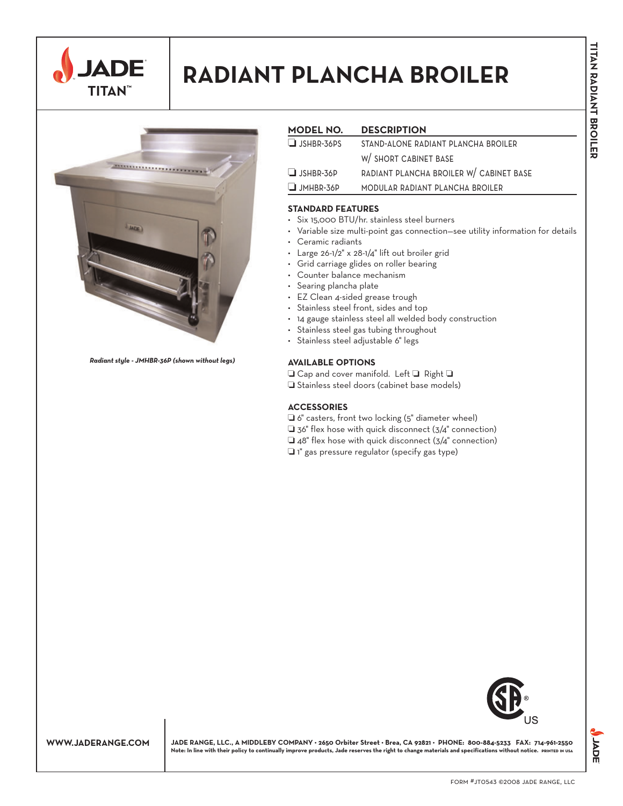

# **RADIANT PLANCHA BROILER**



*Radiant style - JMHBR-36P (shown without legs)*

# **MODEL NO. DESCRIPTION** ❏ jshbr-36ps stand-alone radiant plancha broiler w/ short cabinet base ❏ jshbr-36p radiant plancha broiler w/ cabinet base ❏ jmhbr-36p modular radiant plancha broiler

## **STANDARD FEATURES**

- Six 15,000 BTU/hr. stainless steel burners
- Variable size multi-point gas connection—see utility information for details
- Ceramic radiants
- Large 26-1/2" x 28-1/4" lift out broiler grid
- Grid carriage glides on roller bearing
- Counter balance mechanism
- Searing plancha plate
- EZ Clean 4-sided grease trough
- Stainless steel front, sides and top
- 14 gauge stainless steel all welded body construction
- Stainless steel gas tubing throughout
- Stainless steel adjustable 6" legs

#### **AVAILABLE OPTIONS**

❏ Cap and cover manifold. Left ❏ Right ❏

❏ Stainless steel doors (cabinet base models)

### **ACCESSORIES**

- ❏ 6" casters, front two locking (5" diameter wheel)
- ❏ 36" flex hose with quick disconnect (3/4" connection)
- ❏ 48" flex hose with quick disconnect (3/4" connection)
- ❏ 1" gas pressure regulator (specify gas type)



**WWW.JADERANGE.COM JADE RANGE, LLC., A MIDDLEBY COMPANY • 2650 Orbiter Street • Brea, CA 92821 • PHONE: 800-884-5233 FAX: 714-961-2550 Note: In line with their policy to continually improve products, Jade reserves the right to change materials and specifications without notice. printed in usa** **JADE**